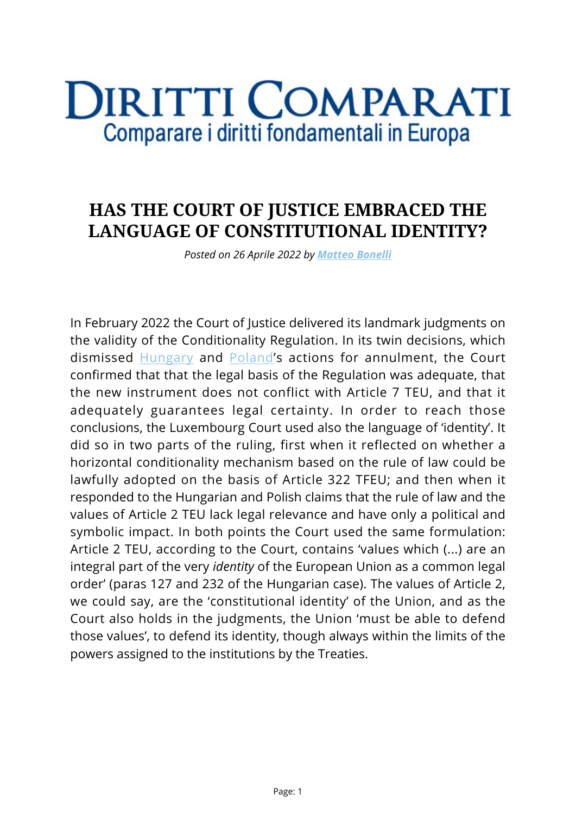## **DIRITTI COMPARATI** Comparare i diritti fondamentali in Europa

## **HAS THE COURT OF JUSTICE EMBRACED THE LANGUAGE OF CONSTITUTIONAL IDENTITY?**

*Posted on 26 Aprile 2022 by [Matteo Bonelli](https://www.diritticomparati.it/autore/matteo-bonelli/)*

In February 2022 the Court of Justice delivered its landmark judgments on the validity of the Conditionality Regulation. In its twin decisions, which dismissed [Hungary](https://curia.europa.eu/juris/document/document.jsf?text=&docid=254061&pageIndex=0&doclang=en&mode=lst&dir=&occ=first&part=1&cid=220450) and [Poland'](https://curia.europa.eu/juris/document/document.jsf?text=&docid=254062&pageIndex=0&doclang=EN&mode=lst&dir=&occ=first&part=1&cid=220618)s actions for annulment, the Court confirmed that that the legal basis of the Regulation was adequate, that the new instrument does not conflict with Article 7 TEU, and that it adequately guarantees legal certainty. In order to reach those conclusions, the Luxembourg Court used also the language of 'identity'. It did so in two parts of the ruling, first when it reflected on whether a horizontal conditionality mechanism based on the rule of law could be lawfully adopted on the basis of Article 322 TFEU; and then when it responded to the Hungarian and Polish claims that the rule of law and the values of Article 2 TEU lack legal relevance and have only a political and symbolic impact. In both points the Court used the same formulation: Article 2 TEU, according to the Court, contains 'values which (...) are an integral part of the very *identity* of the European Union as a common legal order' (paras 127 and 232 of the Hungarian case). The values of Article 2, we could say, are the 'constitutional identity' of the Union, and as the Court also holds in the judgments, the Union 'must be able to defend those values', to defend its identity, though always within the limits of the powers assigned to the institutions by the Treaties.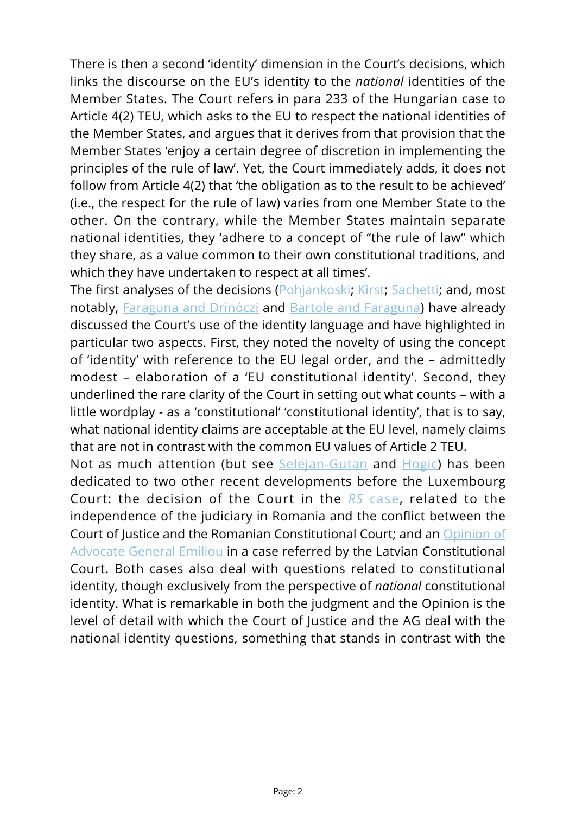There is then a second 'identity' dimension in the Court's decisions, which links the discourse on the EU's identity to the *national* identities of the Member States. The Court refers in para 233 of the Hungarian case to Article 4(2) TEU, which asks to the EU to respect the national identities of the Member States, and argues that it derives from that provision that the Member States 'enjoy a certain degree of discretion in implementing the principles of the rule of law'. Yet, the Court immediately adds, it does not follow from Article 4(2) that 'the obligation as to the result to be achieved' (i.e., the respect for the rule of law) varies from one Member State to the other. On the contrary, while the Member States maintain separate national identities, they 'adhere to a concept of "the rule of law" which they share, as a value common to their own constitutional traditions, and which they have undertaken to respect at all times'.

The first analyses of the decisions [\(Pohjankoski](https://issuu.com/eulawlive/docs/weekend_edition_no_91?e=40736167/90811008); [Kirst;](https://issuu.com/eulawlive/docs/weekend_edition_no_91?e=40736167/90811008) [Sachetti;](https://www.diritticomparati.it/once-more-with-feeling-il-finale-annunciato-del-ricorso-per-lannullamento-del-meccanismo-di-condizionalita-relativo-alla-rule-of-law-sentenze-c-156-21-e-c-157-21/) and, most notably, [Faraguna and Drinóczi](https://verfassungsblog.de/constitutional-identity-in-and-on-eu-terms/) and [Bartole and Faraguna\)](https://www.diritticomparati.it/la-condizionalita-nellunione-i-carrarmati-fuori-dellunione/) have already discussed the Court's use of the identity language and have highlighted in particular two aspects. First, they noted the novelty of using the concept of 'identity' with reference to the EU legal order, and the – admittedly modest – elaboration of a 'EU constitutional identity'. Second, they underlined the rare clarity of the Court in setting out what counts – with a little wordplay - as a 'constitutional' 'constitutional identity', that is to say, what national identity claims are acceptable at the EU level, namely claims that are not in contrast with the common EU values of Article 2 TEU.

Not as much attention (but see Selejan-Gutan and [Hogic](https://www.diritticomparati.it/supremacy-of-eu-law-and-judicial-independence-in-romania/)) has been dedicated to two other recent developments before the Luxembourg Court: the decision of the Court in the *[RS](https://curia.europa.eu/juris/document/document.jsf?text=&docid=254384&pageIndex=0&doclang=en&mode=lst&dir=&occ=first&part=1&cid=4750344)* [case](https://curia.europa.eu/juris/document/document.jsf?text=&docid=254384&pageIndex=0&doclang=en&mode=lst&dir=&occ=first&part=1&cid=4750344), related to the independence of the judiciary in Romania and the conflict between the Court of Justice and the Romanian Constitutional Court; and an [Opinion of](https://eur-lex.europa.eu/legal-content/EN/TXT/HTML/?uri=CELEX:62020CC0391) [Advocate General Emiliou](https://eur-lex.europa.eu/legal-content/EN/TXT/HTML/?uri=CELEX:62020CC0391) in a case referred by the Latvian Constitutional Court. Both cases also deal with questions related to constitutional identity, though exclusively from the perspective of *national* constitutional identity. What is remarkable in both the judgment and the Opinion is the level of detail with which the Court of Justice and the AG deal with the national identity questions, something that stands in contrast with the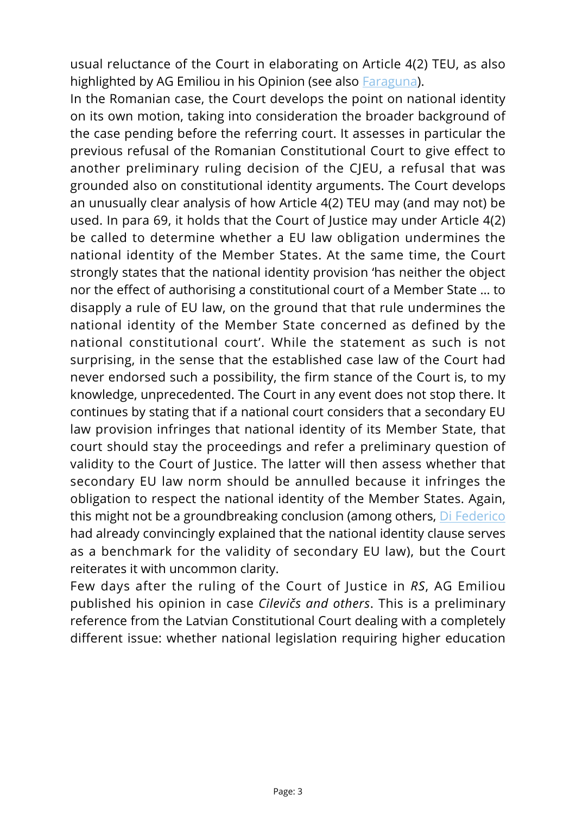usual reluctance of the Court in elaborating on Article 4(2) TEU, as also highlighted by AG Emiliou in his Opinion (see also [Faraguna](https://kluwerlawonline.com/api/Product/CitationPDFURL?file=Journals%5CEURO%5CEURO2021020.pdf)).

In the Romanian case, the Court develops the point on national identity on its own motion, taking into consideration the broader background of the case pending before the referring court. It assesses in particular the previous refusal of the Romanian Constitutional Court to give effect to another preliminary ruling decision of the CJEU, a refusal that was grounded also on constitutional identity arguments. The Court develops an unusually clear analysis of how Article 4(2) TEU may (and may not) be used. In para 69, it holds that the Court of Justice may under Article 4(2) be called to determine whether a EU law obligation undermines the national identity of the Member States. At the same time, the Court strongly states that the national identity provision 'has neither the object nor the effect of authorising a constitutional court of a Member State … to disapply a rule of EU law, on the ground that that rule undermines the national identity of the Member State concerned as defined by the national constitutional court'. While the statement as such is not surprising, in the sense that the established case law of the Court had never endorsed such a possibility, the firm stance of the Court is, to my knowledge, unprecedented. The Court in any event does not stop there. It continues by stating that if a national court considers that a secondary EU law provision infringes that national identity of its Member State, that court should stay the proceedings and refer a preliminary question of validity to the Court of Justice. The latter will then assess whether that secondary EU law norm should be annulled because it infringes the obligation to respect the national identity of the Member States. Again, this might not be a groundbreaking conclusion (among others, [Di Federico](https://kluwerlawonline.com/journalarticle/European+Public+Law/25.3/EURO2019021) had already convincingly explained that the national identity clause serves as a benchmark for the validity of secondary EU law), but the Court reiterates it with uncommon clarity.

Few days after the ruling of the Court of Justice in *RS*, AG Emiliou published his opinion in case *Cilevičs and others*. This is a preliminary reference from the Latvian Constitutional Court dealing with a completely different issue: whether national legislation requiring higher education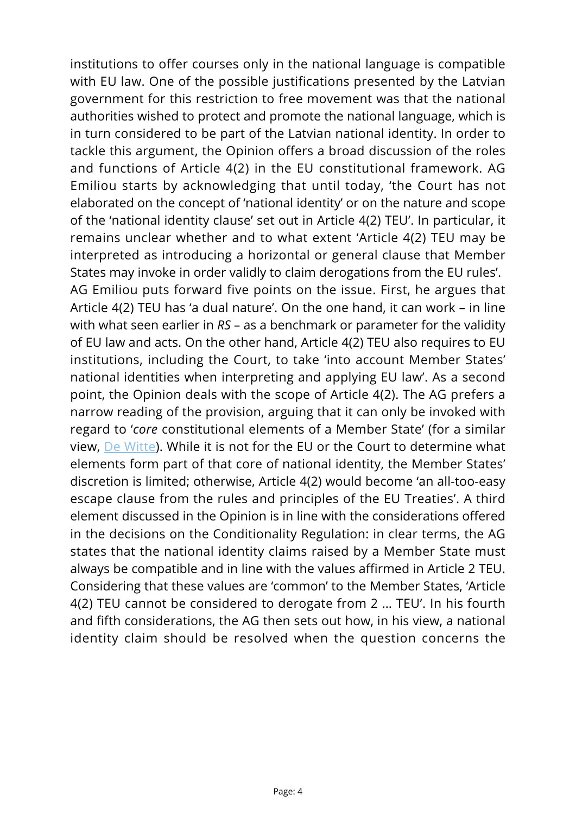institutions to offer courses only in the national language is compatible with EU law. One of the possible justifications presented by the Latvian government for this restriction to free movement was that the national authorities wished to protect and promote the national language, which is in turn considered to be part of the Latvian national identity. In order to tackle this argument, the Opinion offers a broad discussion of the roles and functions of Article 4(2) in the EU constitutional framework. AG Emiliou starts by acknowledging that until today, 'the Court has not elaborated on the concept of 'national identity' or on the nature and scope of the 'national identity clause' set out in Article 4(2) TEU'. In particular, it remains unclear whether and to what extent 'Article 4(2) TEU may be interpreted as introducing a horizontal or general clause that Member States may invoke in order validly to claim derogations from the EU rules'. AG Emiliou puts forward five points on the issue. First, he argues that Article 4(2) TEU has 'a dual nature'. On the one hand, it can work – in line with what seen earlier in *RS* – as a benchmark or parameter for the validity of EU law and acts. On the other hand, Article 4(2) TEU also requires to EU institutions, including the Court, to take 'into account Member States' national identities when interpreting and applying EU law'. As a second point, the Opinion deals with the scope of Article 4(2). The AG prefers a narrow reading of the provision, arguing that it can only be invoked with regard to '*core* constitutional elements of a Member State' (for a similar view, [De Witte\)](https://kluwerlawonline.com/journalarticle/European+Public+Law/27.3/EURO2021026). While it is not for the EU or the Court to determine what elements form part of that core of national identity, the Member States' discretion is limited; otherwise, Article 4(2) would become 'an all-too-easy escape clause from the rules and principles of the EU Treaties'. A third element discussed in the Opinion is in line with the considerations offered in the decisions on the Conditionality Regulation: in clear terms, the AG states that the national identity claims raised by a Member State must always be compatible and in line with the values affirmed in Article 2 TEU. Considering that these values are 'common' to the Member States, 'Article 4(2) TEU cannot be considered to derogate from 2 … TEU'. In his fourth and fifth considerations, the AG then sets out how, in his view, a national identity claim should be resolved when the question concerns the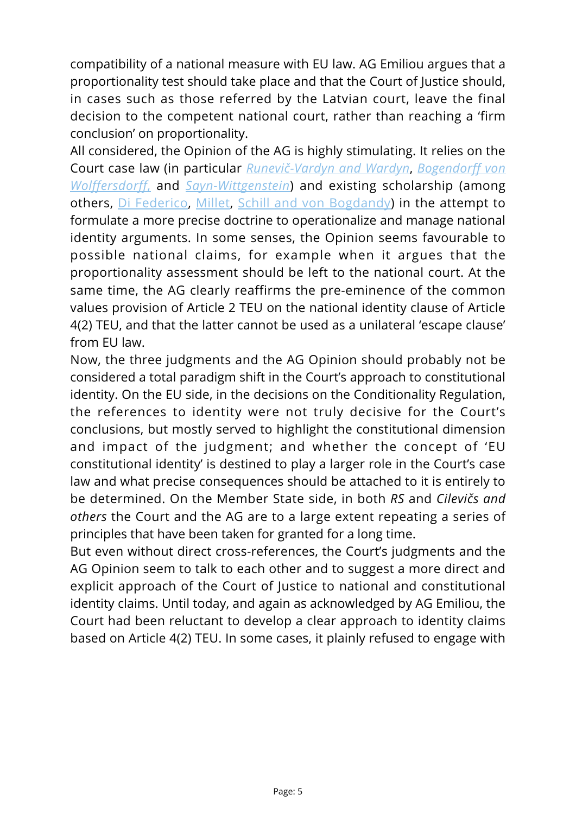compatibility of a national measure with EU law. AG Emiliou argues that a proportionality test should take place and that the Court of Justice should, in cases such as those referred by the Latvian court, leave the final decision to the competent national court, rather than reaching a 'firm conclusion' on proportionality.

All considered, the Opinion of the AG is highly stimulating. It relies on the Court case law (in particular *[Runevič-Vardyn and Wardyn](https://curia.europa.eu/juris/liste.jsf?language=en&num=C-391/09)*, *[Bogendorff von](https://curia.europa.eu/juris/liste.jsf?num=C-438/14) [Wolffersdorff](https://curia.europa.eu/juris/liste.jsf?num=C-438/14)*[,](https://curia.europa.eu/juris/liste.jsf?num=C-438/14) and *[Sayn-Wittgenstein](https://curia.europa.eu/juris/liste.jsf?num=C-208/09)*) and existing scholarship (among others, [Di Federico](https://kluwerlawonline.com/journalarticle/European+Public+Law/25.3/EURO2019021), [Millet,](https://kluwerlawonline.com/journalarticle/European+Public+Law/27.3/EURO2021027) [Schill and von Bogdandy](https://kluwerlawonline.com/journalarticle/Common+Market+Law+Review/48.5/COLA2011057)) in the attempt to formulate a more precise doctrine to operationalize and manage national identity arguments. In some senses, the Opinion seems favourable to possible national claims, for example when it argues that the proportionality assessment should be left to the national court. At the same time, the AG clearly reaffirms the pre-eminence of the common values provision of Article 2 TEU on the national identity clause of Article 4(2) TEU, and that the latter cannot be used as a unilateral 'escape clause' from EU law.

Now, the three judgments and the AG Opinion should probably not be considered a total paradigm shift in the Court's approach to constitutional identity. On the EU side, in the decisions on the Conditionality Regulation, the references to identity were not truly decisive for the Court's conclusions, but mostly served to highlight the constitutional dimension and impact of the judgment; and whether the concept of 'EU constitutional identity' is destined to play a larger role in the Court's case law and what precise consequences should be attached to it is entirely to be determined. On the Member State side, in both *RS* and *Cilevičs and others* the Court and the AG are to a large extent repeating a series of principles that have been taken for granted for a long time.

But even without direct cross-references, the Court's judgments and the AG Opinion seem to talk to each other and to suggest a more direct and explicit approach of the Court of Justice to national and constitutional identity claims. Until today, and again as acknowledged by AG Emiliou, the Court had been reluctant to develop a clear approach to identity claims based on Article 4(2) TEU. In some cases, it plainly refused to engage with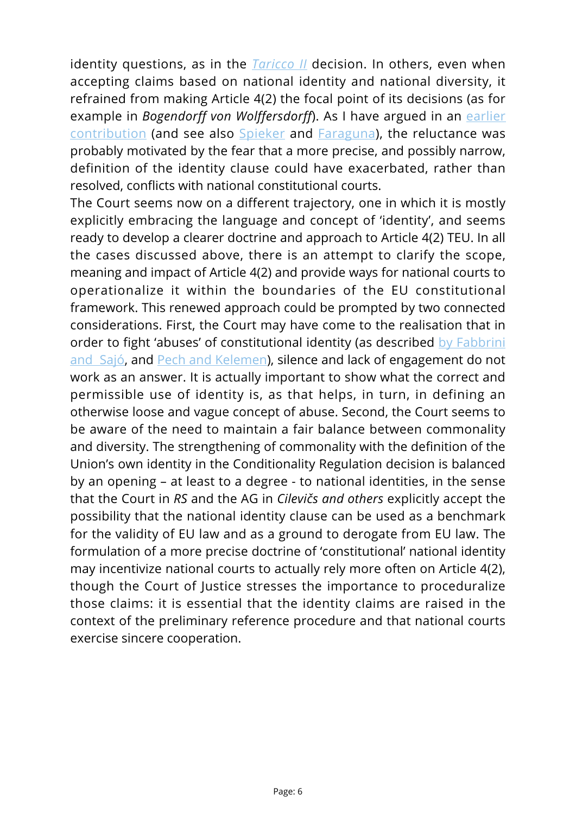identity questions, as in the *[Taricco II](https://curia.europa.eu/juris/liste.jsf?num=C-42/17)* decision. In others, even when accepting claims based on national identity and national diversity, it refrained from making Article 4(2) the focal point of its decisions (as for example in *Bogendorff von Wolffersdorff*). As I have argued in an [earlier](https://kluwerlawonline.com/journalarticle/European+Public+Law/27.3/EURO2021025) [contribution](https://kluwerlawonline.com/journalarticle/European+Public+Law/27.3/EURO2021025) (and see also [Spieker](https://kluwerlawonline.com/journalarticle/Common+Market+Law+Review/57.2/COLA2020031) and [Faraguna](https://kluwerlawonline.com/api/Product/CitationPDFURL?file=Journals%5CEURO%5CEURO2021020.pdf)), the reluctance was probably motivated by the fear that a more precise, and possibly narrow, definition of the identity clause could have exacerbated, rather than resolved, conflicts with national constitutional courts.

The Court seems now on a different trajectory, one in which it is mostly explicitly embracing the language and concept of 'identity', and seems ready to develop a clearer doctrine and approach to Article 4(2) TEU. In all the cases discussed above, there is an attempt to clarify the scope, meaning and impact of Article 4(2) and provide ways for national courts to operationalize it within the boundaries of the EU constitutional framework. This renewed approach could be prompted by two connected considerations. First, the Court may have come to the realisation that in order to fight 'abuses' of constitutional identity (as described [by Fabbrini](https://onlinelibrary.wiley.com/doi/full/10.1111/eulj.12332) [and Sajó,](https://onlinelibrary.wiley.com/doi/full/10.1111/eulj.12332) and [Pech and Kelemen](https://www.cambridge.org/core/journals/cambridge-yearbook-of-european-legal-studies/article/abs/uses-and-abuses-of-constitutional-pluralism-undermining-the-rule-of-law-in-the-name-of-constitutional-identity-in-hungary-and-poland/3DCC6C466E4E3B97448337C0F701CA56)), silence and lack of engagement do not work as an answer. It is actually important to show what the correct and permissible use of identity is, as that helps, in turn, in defining an otherwise loose and vague concept of abuse. Second, the Court seems to be aware of the need to maintain a fair balance between commonality and diversity. The strengthening of commonality with the definition of the Union's own identity in the Conditionality Regulation decision is balanced by an opening – at least to a degree - to national identities, in the sense that the Court in *RS* and the AG in *Cilevičs and others* explicitly accept the possibility that the national identity clause can be used as a benchmark for the validity of EU law and as a ground to derogate from EU law. The formulation of a more precise doctrine of 'constitutional' national identity may incentivize national courts to actually rely more often on Article 4(2), though the Court of Justice stresses the importance to proceduralize those claims: it is essential that the identity claims are raised in the context of the preliminary reference procedure and that national courts exercise sincere cooperation.